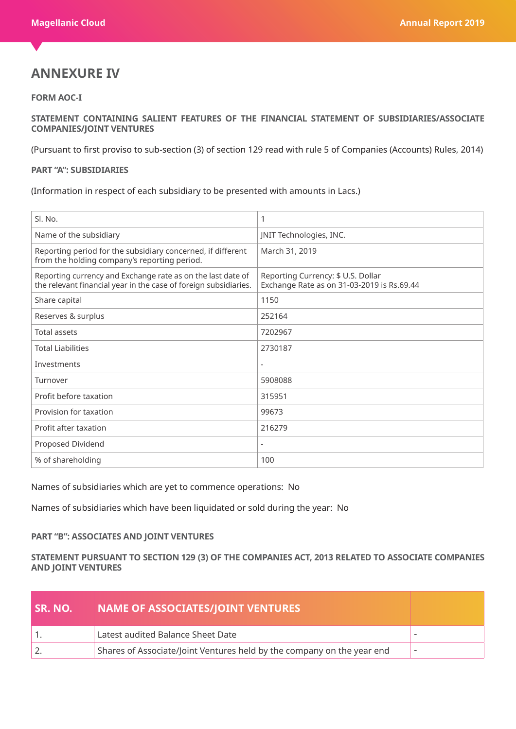## **ANNEXURE IV**

## **FORM AOC-I**

**STATEMENT CONTAINING SALIENT FEATURES OF THE FINANCIAL STATEMENT OF SUBSIDIARIES/ASSOCIATE COMPANIES/JOINT VENTURES**

(Pursuant to first proviso to sub-section (3) of section 129 read with rule 5 of Companies (Accounts) Rules, 2014)

## **PART "A": SUBSIDIARIES**

(Information in respect of each subsidiary to be presented with amounts in Lacs.)

| Sl. No.                                                                                                                         | 1                                                                                |
|---------------------------------------------------------------------------------------------------------------------------------|----------------------------------------------------------------------------------|
| Name of the subsidiary                                                                                                          | JNIT Technologies, INC.                                                          |
| Reporting period for the subsidiary concerned, if different<br>from the holding company's reporting period.                     | March 31, 2019                                                                   |
| Reporting currency and Exchange rate as on the last date of<br>the relevant financial year in the case of foreign subsidiaries. | Reporting Currency: \$ U.S. Dollar<br>Exchange Rate as on 31-03-2019 is Rs.69.44 |
| Share capital                                                                                                                   | 1150                                                                             |
| Reserves & surplus                                                                                                              | 252164                                                                           |
| <b>Total assets</b>                                                                                                             | 7202967                                                                          |
| <b>Total Liabilities</b>                                                                                                        | 2730187                                                                          |
| Investments                                                                                                                     |                                                                                  |
| Turnover                                                                                                                        | 5908088                                                                          |
| Profit before taxation                                                                                                          | 315951                                                                           |
| Provision for taxation                                                                                                          | 99673                                                                            |
| Profit after taxation                                                                                                           | 216279                                                                           |
| Proposed Dividend                                                                                                               | $\overline{\phantom{a}}$                                                         |
| % of shareholding                                                                                                               | 100                                                                              |

Names of subsidiaries which are yet to commence operations: No

Names of subsidiaries which have been liquidated or sold during the year: No

## **PART "B": ASSOCIATES AND JOINT VENTURES**

**STATEMENT PURSUANT TO SECTION 129 (3) OF THE COMPANIES ACT, 2013 RELATED TO ASSOCIATE COMPANIES AND JOINT VENTURES**

| l SR. NO. I | <b>NAME OF ASSOCIATES/JOINT VENTURES</b>                               |  |
|-------------|------------------------------------------------------------------------|--|
|             | Latest audited Balance Sheet Date                                      |  |
|             | Shares of Associate/Joint Ventures held by the company on the year end |  |